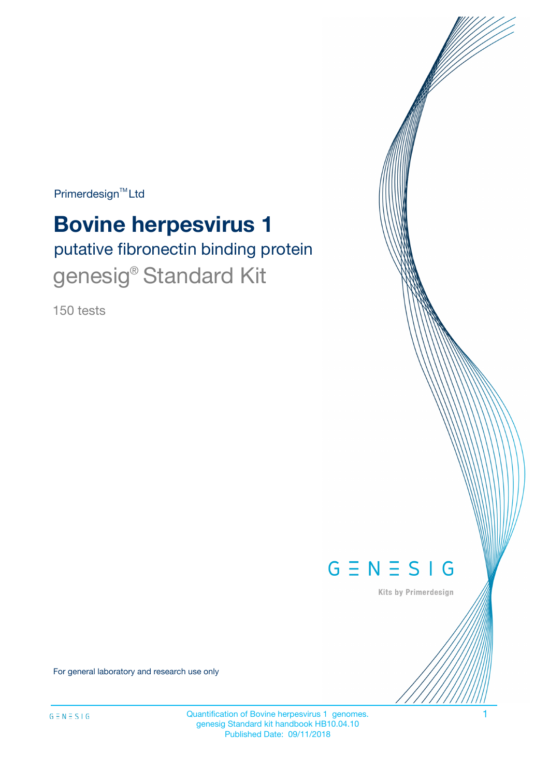Primerdesign<sup>™</sup>Ltd

# **Bovine herpesvirus 1**

putative fibronectin binding protein genesig<sup>®</sup> Standard Kit

150 tests



Kits by Primerdesign

For general laboratory and research use only

Quantification of Bovine herpesvirus 1 genomes. genesig Standard kit handbook HB10.04.10 Published Date: 09/11/2018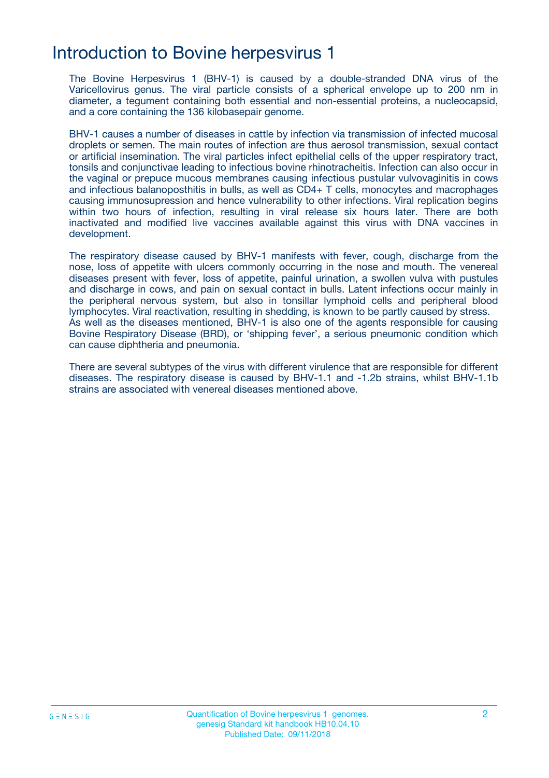### Introduction to Bovine herpesvirus 1

The Bovine Herpesvirus 1 (BHV-1) is caused by a double-stranded DNA virus of the Varicellovirus genus. The viral particle consists of a spherical envelope up to 200 nm in diameter, a tegument containing both essential and non-essential proteins, a nucleocapsid, and a core containing the 136 kilobasepair genome.

BHV-1 causes a number of diseases in cattle by infection via transmission of infected mucosal droplets or semen. The main routes of infection are thus aerosol transmission, sexual contact or artificial insemination. The viral particles infect epithelial cells of the upper respiratory tract, tonsils and conjunctivae leading to infectious bovine rhinotracheitis. Infection can also occur in the vaginal or prepuce mucous membranes causing infectious pustular vulvovaginitis in cows and infectious balanoposthitis in bulls, as well as CD4+ T cells, monocytes and macrophages causing immunosupression and hence vulnerability to other infections. Viral replication begins within two hours of infection, resulting in viral release six hours later. There are both inactivated and modified live vaccines available against this virus with DNA vaccines in development.

The respiratory disease caused by BHV-1 manifests with fever, cough, discharge from the nose, loss of appetite with ulcers commonly occurring in the nose and mouth. The venereal diseases present with fever, loss of appetite, painful urination, a swollen vulva with pustules and discharge in cows, and pain on sexual contact in bulls. Latent infections occur mainly in the peripheral nervous system, but also in tonsillar lymphoid cells and peripheral blood lymphocytes. Viral reactivation, resulting in shedding, is known to be partly caused by stress. As well as the diseases mentioned, BHV-1 is also one of the agents responsible for causing Bovine Respiratory Disease (BRD), or 'shipping fever', a serious pneumonic condition which can cause diphtheria and pneumonia.

There are several subtypes of the virus with different virulence that are responsible for different diseases. The respiratory disease is caused by BHV-1.1 and -1.2b strains, whilst BHV-1.1b strains are associated with venereal diseases mentioned above.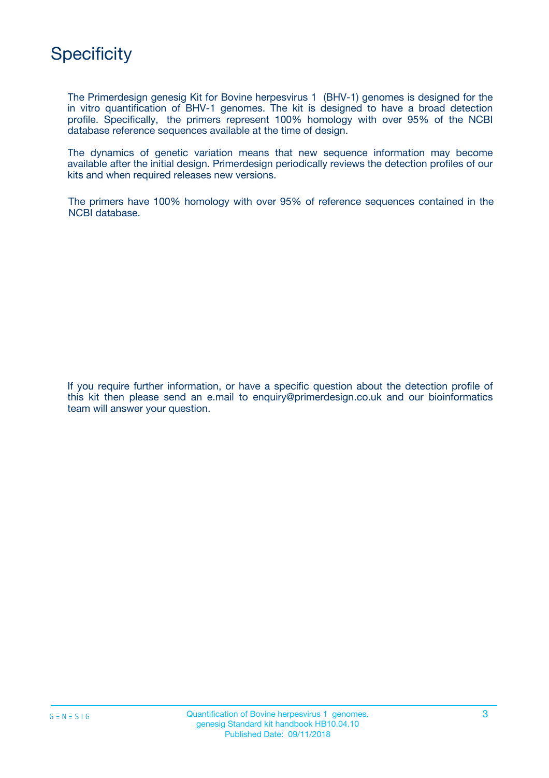

The Primerdesign genesig Kit for Bovine herpesvirus 1 (BHV-1) genomes is designed for the in vitro quantification of BHV-1 genomes. The kit is designed to have a broad detection profile. Specifically, the primers represent 100% homology with over 95% of the NCBI database reference sequences available at the time of design.

The dynamics of genetic variation means that new sequence information may become available after the initial design. Primerdesign periodically reviews the detection profiles of our kits and when required releases new versions.

The primers have 100% homology with over 95% of reference sequences contained in the NCBI database.

If you require further information, or have a specific question about the detection profile of this kit then please send an e.mail to enquiry@primerdesign.co.uk and our bioinformatics team will answer your question.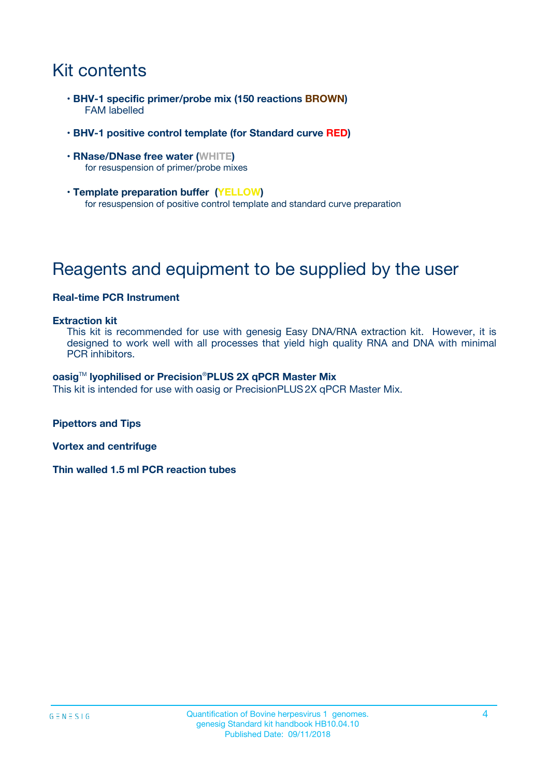# Kit contents

- **BHV-1 specific primer/probe mix (150 reactions BROWN)** FAM labelled
- **BHV-1 positive control template (for Standard curve RED)**
- **RNase/DNase free water (WHITE)** for resuspension of primer/probe mixes
- **Template preparation buffer (YELLOW)** for resuspension of positive control template and standard curve preparation

# Reagents and equipment to be supplied by the user

#### **Real-time PCR Instrument**

#### **Extraction kit**

This kit is recommended for use with genesig Easy DNA/RNA extraction kit. However, it is designed to work well with all processes that yield high quality RNA and DNA with minimal PCR inhibitors.

#### **oasig**TM **lyophilised or Precision**®**PLUS 2X qPCR Master Mix**

This kit is intended for use with oasig or PrecisionPLUS2X qPCR Master Mix.

**Pipettors and Tips**

**Vortex and centrifuge**

**Thin walled 1.5 ml PCR reaction tubes**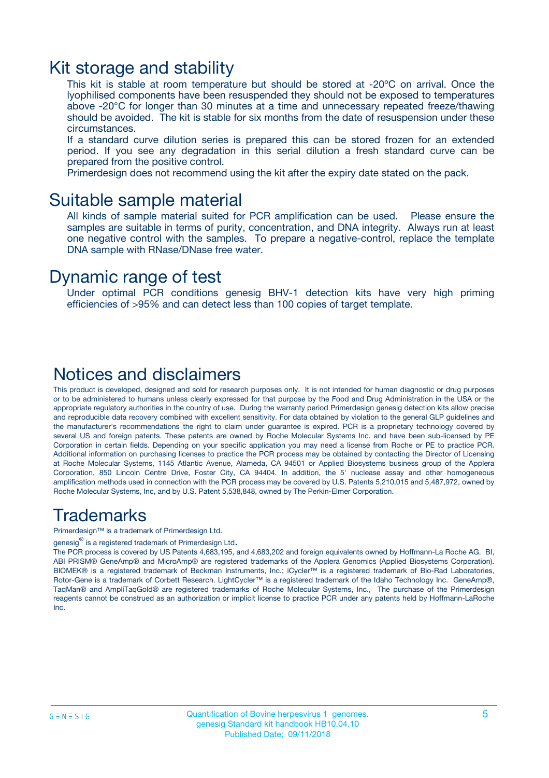### Kit storage and stability

This kit is stable at room temperature but should be stored at -20ºC on arrival. Once the lyophilised components have been resuspended they should not be exposed to temperatures above -20°C for longer than 30 minutes at a time and unnecessary repeated freeze/thawing should be avoided. The kit is stable for six months from the date of resuspension under these circumstances.

If a standard curve dilution series is prepared this can be stored frozen for an extended period. If you see any degradation in this serial dilution a fresh standard curve can be prepared from the positive control.

Primerdesign does not recommend using the kit after the expiry date stated on the pack.

### Suitable sample material

All kinds of sample material suited for PCR amplification can be used. Please ensure the samples are suitable in terms of purity, concentration, and DNA integrity. Always run at least one negative control with the samples. To prepare a negative-control, replace the template DNA sample with RNase/DNase free water.

### Dynamic range of test

Under optimal PCR conditions genesig BHV-1 detection kits have very high priming efficiencies of >95% and can detect less than 100 copies of target template.

### Notices and disclaimers

This product is developed, designed and sold for research purposes only. It is not intended for human diagnostic or drug purposes or to be administered to humans unless clearly expressed for that purpose by the Food and Drug Administration in the USA or the appropriate regulatory authorities in the country of use. During the warranty period Primerdesign genesig detection kits allow precise and reproducible data recovery combined with excellent sensitivity. For data obtained by violation to the general GLP guidelines and the manufacturer's recommendations the right to claim under guarantee is expired. PCR is a proprietary technology covered by several US and foreign patents. These patents are owned by Roche Molecular Systems Inc. and have been sub-licensed by PE Corporation in certain fields. Depending on your specific application you may need a license from Roche or PE to practice PCR. Additional information on purchasing licenses to practice the PCR process may be obtained by contacting the Director of Licensing at Roche Molecular Systems, 1145 Atlantic Avenue, Alameda, CA 94501 or Applied Biosystems business group of the Applera Corporation, 850 Lincoln Centre Drive, Foster City, CA 94404. In addition, the 5' nuclease assay and other homogeneous amplification methods used in connection with the PCR process may be covered by U.S. Patents 5,210,015 and 5,487,972, owned by Roche Molecular Systems, Inc, and by U.S. Patent 5,538,848, owned by The Perkin-Elmer Corporation.

### Trademarks

Primerdesign™ is a trademark of Primerdesign Ltd.

genesig $^\circledR$  is a registered trademark of Primerdesign Ltd.

The PCR process is covered by US Patents 4,683,195, and 4,683,202 and foreign equivalents owned by Hoffmann-La Roche AG. BI, ABI PRISM® GeneAmp® and MicroAmp® are registered trademarks of the Applera Genomics (Applied Biosystems Corporation). BIOMEK® is a registered trademark of Beckman Instruments, Inc.; iCycler™ is a registered trademark of Bio-Rad Laboratories, Rotor-Gene is a trademark of Corbett Research. LightCycler™ is a registered trademark of the Idaho Technology Inc. GeneAmp®, TaqMan® and AmpliTaqGold® are registered trademarks of Roche Molecular Systems, Inc., The purchase of the Primerdesign reagents cannot be construed as an authorization or implicit license to practice PCR under any patents held by Hoffmann-LaRoche Inc.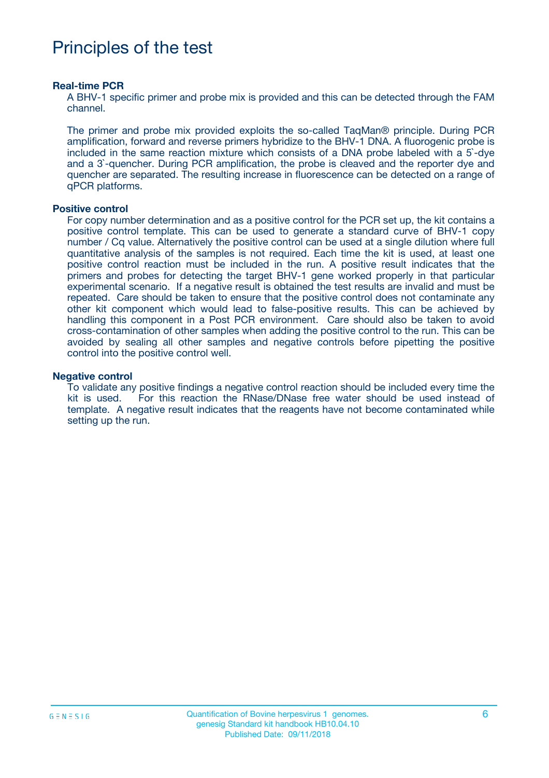# Principles of the test

#### **Real-time PCR**

A BHV-1 specific primer and probe mix is provided and this can be detected through the FAM channel.

The primer and probe mix provided exploits the so-called TaqMan® principle. During PCR amplification, forward and reverse primers hybridize to the BHV-1 DNA. A fluorogenic probe is included in the same reaction mixture which consists of a DNA probe labeled with a 5`-dye and a 3`-quencher. During PCR amplification, the probe is cleaved and the reporter dye and quencher are separated. The resulting increase in fluorescence can be detected on a range of qPCR platforms.

#### **Positive control**

For copy number determination and as a positive control for the PCR set up, the kit contains a positive control template. This can be used to generate a standard curve of BHV-1 copy number / Cq value. Alternatively the positive control can be used at a single dilution where full quantitative analysis of the samples is not required. Each time the kit is used, at least one positive control reaction must be included in the run. A positive result indicates that the primers and probes for detecting the target BHV-1 gene worked properly in that particular experimental scenario. If a negative result is obtained the test results are invalid and must be repeated. Care should be taken to ensure that the positive control does not contaminate any other kit component which would lead to false-positive results. This can be achieved by handling this component in a Post PCR environment. Care should also be taken to avoid cross-contamination of other samples when adding the positive control to the run. This can be avoided by sealing all other samples and negative controls before pipetting the positive control into the positive control well.

#### **Negative control**

To validate any positive findings a negative control reaction should be included every time the kit is used. For this reaction the RNase/DNase free water should be used instead of template. A negative result indicates that the reagents have not become contaminated while setting up the run.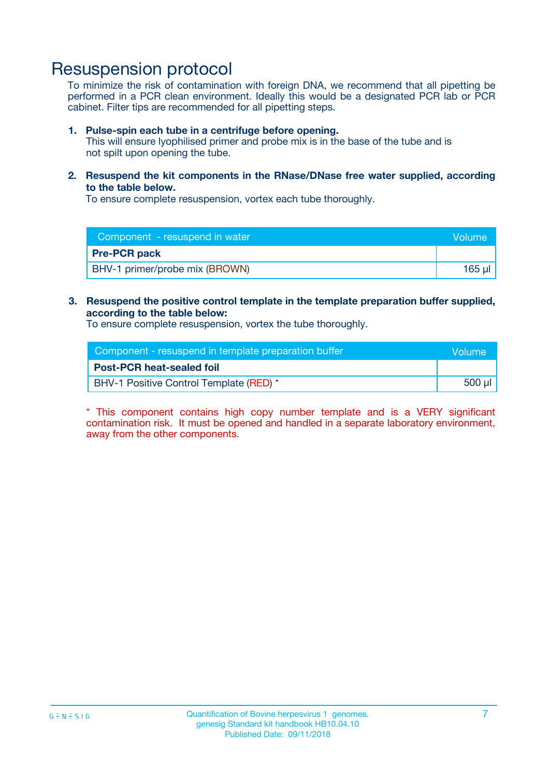## Resuspension protocol

To minimize the risk of contamination with foreign DNA, we recommend that all pipetting be performed in a PCR clean environment. Ideally this would be a designated PCR lab or PCR cabinet. Filter tips are recommended for all pipetting steps.

#### **1. Pulse-spin each tube in a centrifuge before opening.**

This will ensure lyophilised primer and probe mix is in the base of the tube and is not spilt upon opening the tube.

**2. Resuspend the kit components in the RNase/DNase free water supplied, according to the table below.**

To ensure complete resuspension, vortex each tube thoroughly.

| Component - resuspend in water | Volume   |
|--------------------------------|----------|
| <b>Pre-PCR pack</b>            |          |
| BHV-1 primer/probe mix (BROWN) | $165$ µl |

### **3. Resuspend the positive control template in the template preparation buffer supplied, according to the table below:**

To ensure complete resuspension, vortex the tube thoroughly.

| Component - resuspend in template preparation buffer |        |  |
|------------------------------------------------------|--------|--|
| <b>Post-PCR heat-sealed foil</b>                     |        |  |
| BHV-1 Positive Control Template (RED) *              | 500 µl |  |

\* This component contains high copy number template and is a VERY significant contamination risk. It must be opened and handled in a separate laboratory environment, away from the other components.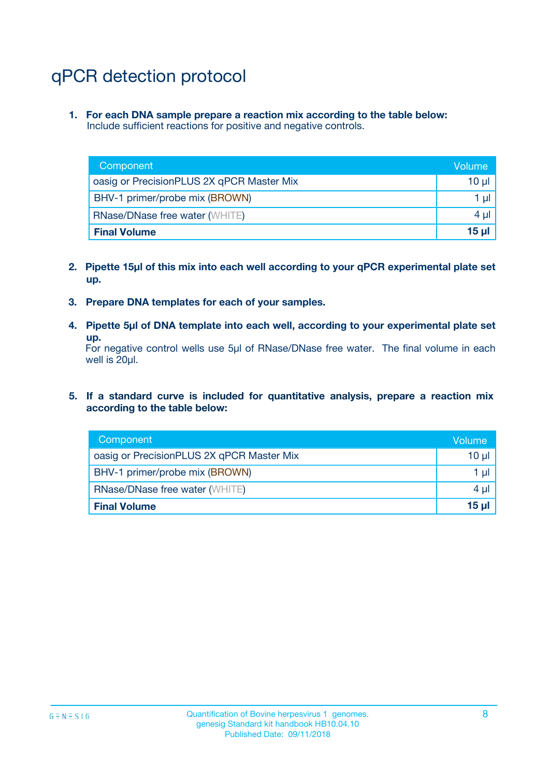# qPCR detection protocol

**1. For each DNA sample prepare a reaction mix according to the table below:** Include sufficient reactions for positive and negative controls.

| Component                                 | Volume   |
|-------------------------------------------|----------|
| oasig or PrecisionPLUS 2X qPCR Master Mix | 10 $\mu$ |
| BHV-1 primer/probe mix (BROWN)            | 1 $\mu$  |
| <b>RNase/DNase free water (WHITE)</b>     | $4 \mu$  |
| <b>Final Volume</b>                       | $15 \mu$ |

- **2. Pipette 15µl of this mix into each well according to your qPCR experimental plate set up.**
- **3. Prepare DNA templates for each of your samples.**
- **4. Pipette 5µl of DNA template into each well, according to your experimental plate set up.**

For negative control wells use 5µl of RNase/DNase free water. The final volume in each well is 20µl.

**5. If a standard curve is included for quantitative analysis, prepare a reaction mix according to the table below:**

| Component                                 | Volume  |
|-------------------------------------------|---------|
| oasig or PrecisionPLUS 2X qPCR Master Mix | 10 µl   |
| BHV-1 primer/probe mix (BROWN)            | 1 µI    |
| <b>RNase/DNase free water (WHITE)</b>     | $4 \mu$ |
| <b>Final Volume</b>                       | 15 µl   |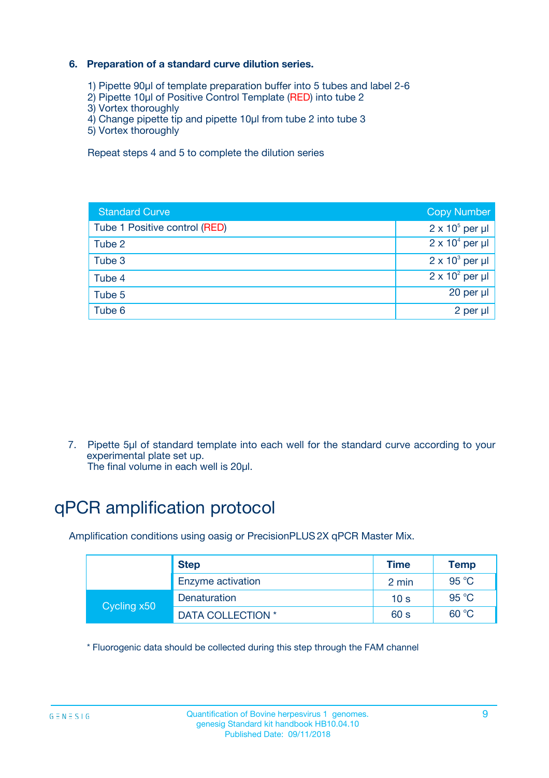### **6. Preparation of a standard curve dilution series.**

- 1) Pipette 90µl of template preparation buffer into 5 tubes and label 2-6
- 2) Pipette 10µl of Positive Control Template (RED) into tube 2
- 3) Vortex thoroughly
- 4) Change pipette tip and pipette 10µl from tube 2 into tube 3
- 5) Vortex thoroughly

Repeat steps 4 and 5 to complete the dilution series

| <b>Standard Curve</b>         | <b>Copy Number</b>     |
|-------------------------------|------------------------|
| Tube 1 Positive control (RED) | $2 \times 10^5$ per µl |
| Tube 2                        | $2 \times 10^4$ per µl |
| Tube 3                        | $2 \times 10^3$ per µl |
| Tube 4                        | $2 \times 10^2$ per µl |
| Tube 5                        | 20 per µl              |
| Tube 6                        | 2 per ul               |

7. Pipette 5µl of standard template into each well for the standard curve according to your experimental plate set up.

The final volume in each well is 20µl.

# qPCR amplification protocol

Amplification conditions using oasig or PrecisionPLUS2X qPCR Master Mix.

|             | <b>Step</b>       | <b>Time</b>     | Temp    |
|-------------|-------------------|-----------------|---------|
|             | Enzyme activation | 2 min           | 95 °C   |
| Cycling x50 | Denaturation      | 10 <sub>s</sub> | 95 $°C$ |
|             | DATA COLLECTION * | 60 s            | 60 °C   |

\* Fluorogenic data should be collected during this step through the FAM channel